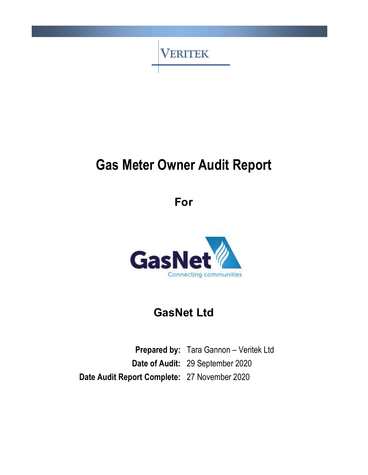

# Gas Meter Owner Audit Report

For



# GasNet Ltd

Prepared by: Tara Gannon - Veritek Ltd Date of Audit: 29 September 2020 Date Audit Report Complete: 27 November 2020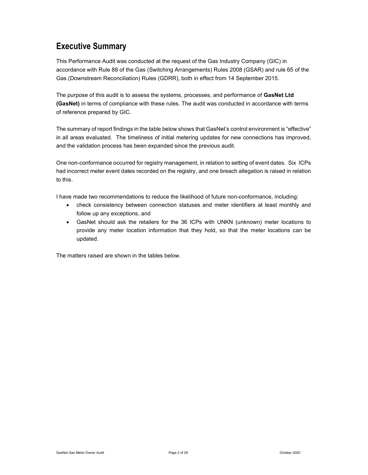# Executive Summary

This Performance Audit was conducted at the request of the Gas Industry Company (GIC) in accordance with Rule 88 of the Gas (Switching Arrangements) Rules 2008 (GSAR) and rule 65 of the Gas (Downstream Reconciliation) Rules (GDRR), both in effect from 14 September 2015.

The purpose of this audit is to assess the systems, processes, and performance of GasNet Ltd (GasNet) in terms of compliance with these rules. The audit was conducted in accordance with terms of reference prepared by GIC.

The summary of report findings in the table below shows that GasNet's control environment is "effective" in all areas evaluated. The timeliness of initial metering updates for new connections has improved, and the validation process has been expanded since the previous audit.

One non-conformance occurred for registry management, in relation to setting of event dates. Six ICPs had incorrect meter event dates recorded on the registry, and one breach allegation is raised in relation to this.

I have made two recommendations to reduce the likelihood of future non-conformance, including:

- check consistency between connection statuses and meter identifiers at least monthly and follow up any exceptions, and
- GasNet should ask the retailers for the 36 ICPs with UNKN (unknown) meter locations to provide any meter location information that they hold, so that the meter locations can be updated.

The matters raised are shown in the tables below.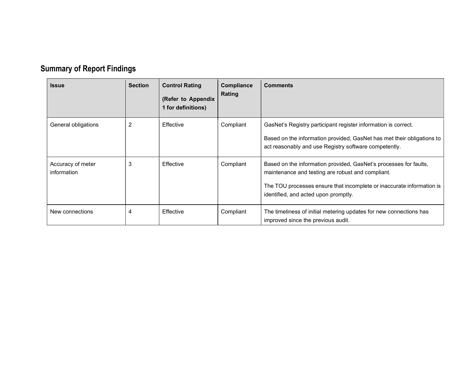# Summary of Report Findings

| <b>Issue</b>                     | <b>Section</b> | <b>Control Rating</b><br>(Refer to Appendix<br>1 for definitions) | <b>Compliance</b><br>Rating | <b>Comments</b>                                                                                                                                                                                                                         |
|----------------------------------|----------------|-------------------------------------------------------------------|-----------------------------|-----------------------------------------------------------------------------------------------------------------------------------------------------------------------------------------------------------------------------------------|
| General obligations              | 2              | Effective                                                         | Compliant                   | GasNet's Registry participant register information is correct.<br>Based on the information provided, GasNet has met their obligations to<br>act reasonably and use Registry software competently.                                       |
| Accuracy of meter<br>information | 3              | Effective                                                         | Compliant                   | Based on the information provided, GasNet's processes for faults,<br>maintenance and testing are robust and compliant.<br>The TOU processes ensure that incomplete or inaccurate information is<br>identified, and acted upon promptly. |
| New connections                  | 4              | Effective                                                         | Compliant                   | The timeliness of initial metering updates for new connections has<br>improved since the previous audit.                                                                                                                                |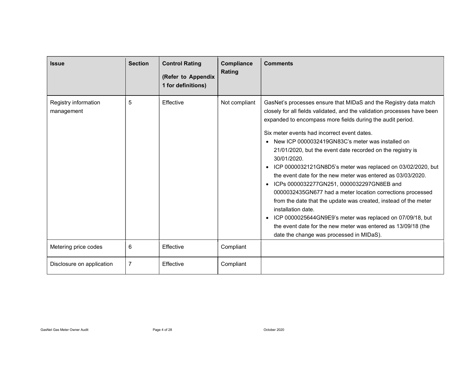| <b>Issue</b>                       | <b>Section</b> | <b>Control Rating</b><br>(Refer to Appendix<br>1 for definitions) | Compliance<br><b>Rating</b> | <b>Comments</b>                                                                                                                                                                                                                                                                                                                                                                                                                                                                                                                                                                                                                                                                                                                                                                                                                                                                                                                                            |
|------------------------------------|----------------|-------------------------------------------------------------------|-----------------------------|------------------------------------------------------------------------------------------------------------------------------------------------------------------------------------------------------------------------------------------------------------------------------------------------------------------------------------------------------------------------------------------------------------------------------------------------------------------------------------------------------------------------------------------------------------------------------------------------------------------------------------------------------------------------------------------------------------------------------------------------------------------------------------------------------------------------------------------------------------------------------------------------------------------------------------------------------------|
| Registry information<br>management | 5              | Effective                                                         | Not compliant               | GasNet's processes ensure that MIDaS and the Registry data match<br>closely for all fields validated, and the validation processes have been<br>expanded to encompass more fields during the audit period.<br>Six meter events had incorrect event dates.<br>New ICP 0000032419GN83C's meter was installed on<br>$\bullet$<br>21/01/2020, but the event date recorded on the registry is<br>30/01/2020.<br>ICP 0000032121GN8D5's meter was replaced on 03/02/2020, but<br>$\bullet$<br>the event date for the new meter was entered as 03/03/2020.<br>ICPs 0000032277GN251, 0000032297GN8EB and<br>$\bullet$<br>0000032435GN677 had a meter location corrections processed<br>from the date that the update was created, instead of the meter<br>installation date.<br>ICP 0000025644GN9E9's meter was replaced on 07/09/18, but<br>$\bullet$<br>the event date for the new meter was entered as 13/09/18 (the<br>date the change was processed in MIDaS). |
| Metering price codes               | 6              | Effective                                                         | Compliant                   |                                                                                                                                                                                                                                                                                                                                                                                                                                                                                                                                                                                                                                                                                                                                                                                                                                                                                                                                                            |
| Disclosure on application          | $\overline{7}$ | Effective                                                         | Compliant                   |                                                                                                                                                                                                                                                                                                                                                                                                                                                                                                                                                                                                                                                                                                                                                                                                                                                                                                                                                            |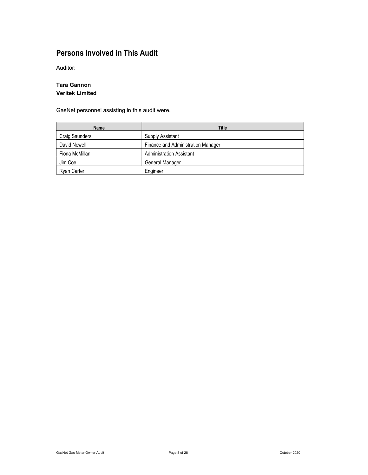# Persons Involved in This Audit

Auditor:

#### Tara Gannon Veritek Limited

GasNet personnel assisting in this audit were.

| Name           | Title                              |
|----------------|------------------------------------|
| Craig Saunders | Supply Assistant                   |
| David Newell   | Finance and Administration Manager |
| Fiona McMillan | <b>Administration Assistant</b>    |
| Jim Coe        | General Manager                    |
| Ryan Carter    | Engineer                           |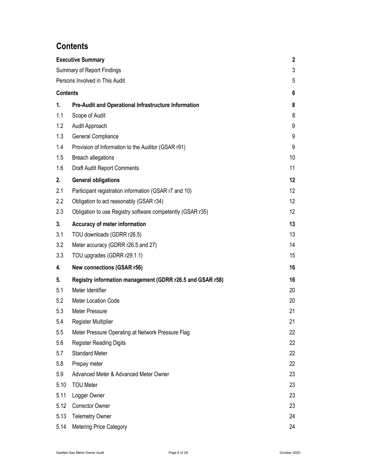# **Contents**

|                                   | <b>Executive Summary</b>                                   |                   |  |  |  |  |
|-----------------------------------|------------------------------------------------------------|-------------------|--|--|--|--|
| <b>Summary of Report Findings</b> |                                                            |                   |  |  |  |  |
|                                   | Persons Involved in This Audit                             |                   |  |  |  |  |
| <b>Contents</b>                   |                                                            |                   |  |  |  |  |
| 1.                                | Pre-Audit and Operational Infrastructure Information       | 8                 |  |  |  |  |
| 1.1                               | Scope of Audit                                             | 8                 |  |  |  |  |
| 1.2                               | Audit Approach                                             | 9                 |  |  |  |  |
| 1.3                               | General Compliance                                         | 9                 |  |  |  |  |
| 1.4                               | Provision of Information to the Auditor (GSAR r91)         | 9                 |  |  |  |  |
| 1.5                               | <b>Breach allegations</b>                                  | 10                |  |  |  |  |
| 1.6                               | <b>Draft Audit Report Comments</b>                         | 11                |  |  |  |  |
| 2.                                | <b>General obligations</b>                                 | $12 \overline{ }$ |  |  |  |  |
| 2.1                               | Participant registration information (GSAR r7 and 10)      | 12                |  |  |  |  |
| 2.2                               | Obligation to act reasonably (GSAR r34)                    | 12                |  |  |  |  |
| 2.3                               | Obligation to use Registry software competently (GSAR r35) | 12                |  |  |  |  |
| 3.                                | Accuracy of meter information                              | 13                |  |  |  |  |
| 3.1                               | TOU downloads (GDRR r26.5)                                 | 13                |  |  |  |  |
| 3.2                               | Meter accuracy (GDRR r26.5 and 27)                         | 14                |  |  |  |  |
| 3.3                               | TOU upgrades (GDRR r29.1.1)                                | 15                |  |  |  |  |
| 4.                                | <b>New connections (GSAR r56)</b>                          | 16                |  |  |  |  |
| 5.                                | Registry information management (GDRR r26.5 and GSAR r58)  | 16                |  |  |  |  |
| 5.1                               | Meter Identifier                                           | 20                |  |  |  |  |
| 5.2                               | Meter Location Code                                        | 20                |  |  |  |  |
| 5.3                               | Meter Pressure                                             | 21                |  |  |  |  |
| 5.4                               | <b>Register Multiplier</b>                                 | 21                |  |  |  |  |
| 5.5                               | Meter Pressure Operating at Network Pressure Flag          | 22                |  |  |  |  |
| 5.6                               | <b>Register Reading Digits</b>                             | 22                |  |  |  |  |
| 5.7                               | <b>Standard Meter</b>                                      | 22                |  |  |  |  |
| 5.8                               | Prepay meter                                               | 22                |  |  |  |  |
| 5.9                               | Advanced Meter & Advanced Meter Owner                      | 23                |  |  |  |  |
| 5.10                              | <b>TOU Meter</b>                                           | 23                |  |  |  |  |
| 5.11                              | Logger Owner                                               | 23                |  |  |  |  |
| 5.12                              | <b>Corrector Owner</b>                                     | 23                |  |  |  |  |
| 5.13                              | <b>Telemetry Owner</b>                                     | 24                |  |  |  |  |
| 5.14                              | <b>Metering Price Category</b>                             | 24                |  |  |  |  |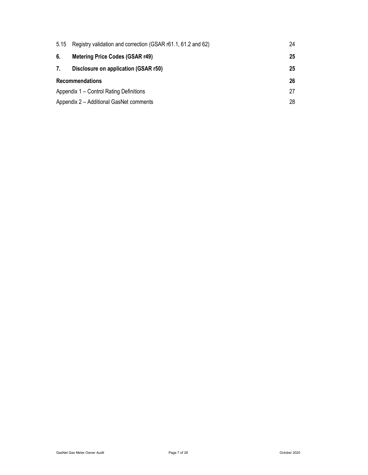| 5.15                                    | Registry validation and correction (GSAR r61.1, 61.2 and 62) |    |  |
|-----------------------------------------|--------------------------------------------------------------|----|--|
| 6.                                      | <b>Metering Price Codes (GSAR r49)</b>                       | 25 |  |
| 7.                                      | Disclosure on application (GSAR r50)                         | 25 |  |
| <b>Recommendations</b>                  |                                                              |    |  |
| Appendix 1 – Control Rating Definitions |                                                              |    |  |
|                                         | Appendix 2 - Additional GasNet comments                      |    |  |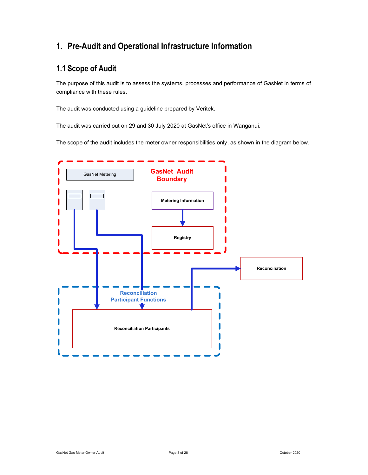# 1. Pre-Audit and Operational Infrastructure Information

# 1.1 Scope of Audit

The purpose of this audit is to assess the systems, processes and performance of GasNet in terms of compliance with these rules.

The audit was conducted using a guideline prepared by Veritek.

The audit was carried out on 29 and 30 July 2020 at GasNet's office in Wanganui.

The scope of the audit includes the meter owner responsibilities only, as shown in the diagram below.

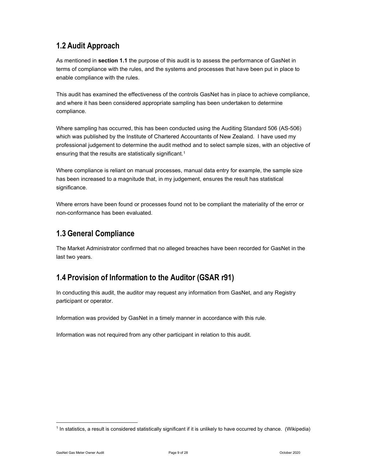# 1.2 Audit Approach

As mentioned in section 1.1 the purpose of this audit is to assess the performance of GasNet in terms of compliance with the rules, and the systems and processes that have been put in place to enable compliance with the rules.

This audit has examined the effectiveness of the controls GasNet has in place to achieve compliance, and where it has been considered appropriate sampling has been undertaken to determine compliance.

Where sampling has occurred, this has been conducted using the Auditing Standard 506 (AS-506) which was published by the Institute of Chartered Accountants of New Zealand. I have used my professional judgement to determine the audit method and to select sample sizes, with an objective of ensuring that the results are statistically significant.<sup>1</sup>

Where compliance is reliant on manual processes, manual data entry for example, the sample size has been increased to a magnitude that, in my judgement, ensures the result has statistical significance.

Where errors have been found or processes found not to be compliant the materiality of the error or non-conformance has been evaluated.

# 1.3 General Compliance

The Market Administrator confirmed that no alleged breaches have been recorded for GasNet in the last two years.

# 1.4 Provision of Information to the Auditor (GSAR r91)

In conducting this audit, the auditor may request any information from GasNet, and any Registry participant or operator.

Information was provided by GasNet in a timely manner in accordance with this rule.

Information was not required from any other participant in relation to this audit.

<sup>1</sup> In statistics, a result is considered statistically significant if it is unlikely to have occurred by chance. (Wikipedia)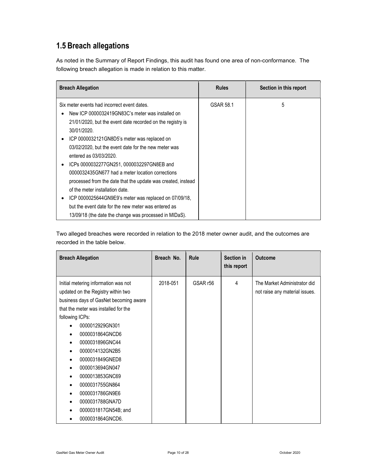# 1.5 Breach allegations

As noted in the Summary of Report Findings, this audit has found one area of non-conformance. The following breach allegation is made in relation to this matter.

| <b>Breach Allegation</b>                                           | <b>Rules</b> | Section in this report |
|--------------------------------------------------------------------|--------------|------------------------|
| Six meter events had incorrect event dates.                        | GSAR 58.1    | 5                      |
| New ICP 0000032419GN83C's meter was installed on                   |              |                        |
| 21/01/2020, but the event date recorded on the registry is         |              |                        |
| 30/01/2020.                                                        |              |                        |
| ICP 0000032121GN8D5's meter was replaced on<br>٠                   |              |                        |
| 03/02/2020, but the event date for the new meter was               |              |                        |
| entered as 03/03/2020.                                             |              |                        |
| ICPs 0000032277GN251, 0000032297GN8EB and<br>٠                     |              |                        |
| 0000032435GN677 had a meter location corrections                   |              |                        |
| processed from the date that the update was created, instead       |              |                        |
| of the meter installation date.                                    |              |                        |
| ICP 0000025644GN9E9's meter was replaced on 07/09/18,<br>$\bullet$ |              |                        |
| but the event date for the new meter was entered as                |              |                        |
| 13/09/18 (the date the change was processed in MIDaS).             |              |                        |

Two alleged breaches were recorded in relation to the 2018 meter owner audit, and the outcomes are recorded in the table below.

| <b>Breach Allegation</b>                                                                                                                                                                                                                                                                                                                                                                                                  | Breach No. | Rule     | Section in<br>this report | <b>Outcome</b>                                                 |
|---------------------------------------------------------------------------------------------------------------------------------------------------------------------------------------------------------------------------------------------------------------------------------------------------------------------------------------------------------------------------------------------------------------------------|------------|----------|---------------------------|----------------------------------------------------------------|
| Initial metering information was not<br>updated on the Registry within two<br>business days of GasNet becoming aware<br>that the meter was installed for the<br>following ICPs:<br>0000012929GN301<br>0000031864GNCD6<br>0000031896GNC44<br>0000014132GN2B5<br>0000031849GNED8<br>0000013694GN047<br>0000013853GNC69<br>0000031755GN864<br>0000031786GN9E6<br>0000031788GNA7D<br>0000031817GN54B; and<br>0000031864GNCD6. | 2018-051   | GSAR r56 | 4                         | The Market Administrator did<br>not raise any material issues. |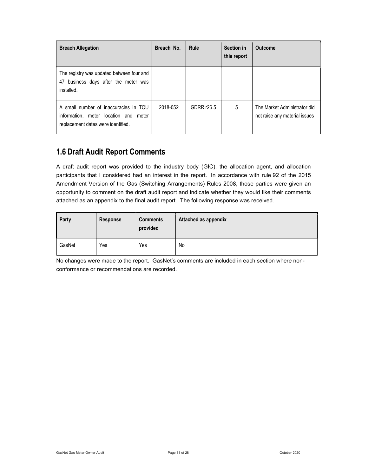| <b>Breach Allegation</b>                                                                                             | Breach No. | Rule       | <b>Section in</b><br>this report | <b>Outcome</b>                                                |
|----------------------------------------------------------------------------------------------------------------------|------------|------------|----------------------------------|---------------------------------------------------------------|
| The registry was updated between four and<br>47 business days after the meter was<br>installed.                      |            |            |                                  |                                                               |
| A small number of inaccuracies in TOU<br>information, meter location and meter<br>replacement dates were identified. | 2018-052   | GDRR r26.5 | 5                                | The Market Administrator did<br>not raise any material issues |

# 1.6 Draft Audit Report Comments

A draft audit report was provided to the industry body (GIC), the allocation agent, and allocation participants that I considered had an interest in the report. In accordance with rule 92 of the 2015 Amendment Version of the Gas (Switching Arrangements) Rules 2008, those parties were given an opportunity to comment on the draft audit report and indicate whether they would like their comments attached as an appendix to the final audit report. The following response was received.

| Party  | Response | <b>Comments</b><br>provided | <b>Attached as appendix</b> |
|--------|----------|-----------------------------|-----------------------------|
| GasNet | Yes      | Yes                         | No                          |

No changes were made to the report. GasNet's comments are included in each section where nonconformance or recommendations are recorded.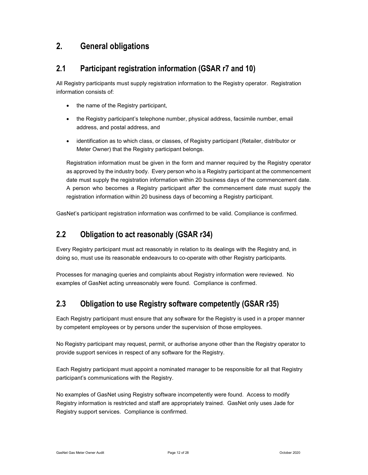# 2. General obligations

### 2.1 Participant registration information (GSAR r7 and 10)

All Registry participants must supply registration information to the Registry operator. Registration information consists of:

- the name of the Registry participant,
- the Registry participant's telephone number, physical address, facsimile number, email address, and postal address, and
- identification as to which class, or classes, of Registry participant (Retailer, distributor or Meter Owner) that the Registry participant belongs.

Registration information must be given in the form and manner required by the Registry operator as approved by the industry body. Every person who is a Registry participant at the commencement date must supply the registration information within 20 business days of the commencement date. A person who becomes a Registry participant after the commencement date must supply the registration information within 20 business days of becoming a Registry participant.

GasNet's participant registration information was confirmed to be valid. Compliance is confirmed.

### 2.2 Obligation to act reasonably (GSAR r34)

Every Registry participant must act reasonably in relation to its dealings with the Registry and, in doing so, must use its reasonable endeavours to co-operate with other Registry participants.

Processes for managing queries and complaints about Registry information were reviewed. No examples of GasNet acting unreasonably were found. Compliance is confirmed.

# 2.3 Obligation to use Registry software competently (GSAR r35)

Each Registry participant must ensure that any software for the Registry is used in a proper manner by competent employees or by persons under the supervision of those employees.

No Registry participant may request, permit, or authorise anyone other than the Registry operator to provide support services in respect of any software for the Registry.

Each Registry participant must appoint a nominated manager to be responsible for all that Registry participant's communications with the Registry.

No examples of GasNet using Registry software incompetently were found. Access to modify Registry information is restricted and staff are appropriately trained. GasNet only uses Jade for Registry support services. Compliance is confirmed.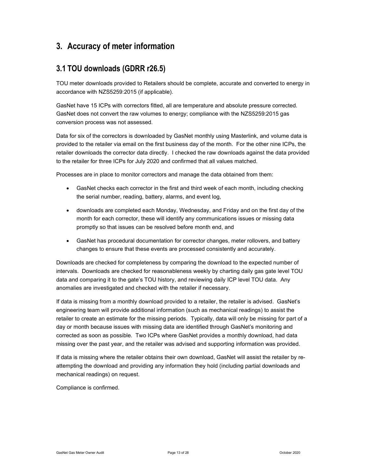# 3. Accuracy of meter information

# 3.1 TOU downloads (GDRR r26.5)

TOU meter downloads provided to Retailers should be complete, accurate and converted to energy in accordance with NZS5259:2015 (if applicable).

GasNet have 15 ICPs with correctors fitted, all are temperature and absolute pressure corrected. GasNet does not convert the raw volumes to energy; compliance with the NZS5259:2015 gas conversion process was not assessed.

Data for six of the correctors is downloaded by GasNet monthly using Masterlink, and volume data is provided to the retailer via email on the first business day of the month. For the other nine ICPs, the retailer downloads the corrector data directly. I checked the raw downloads against the data provided to the retailer for three ICPs for July 2020 and confirmed that all values matched.

Processes are in place to monitor correctors and manage the data obtained from them:

- GasNet checks each corrector in the first and third week of each month, including checking the serial number, reading, battery, alarms, and event log,
- downloads are completed each Monday, Wednesday, and Friday and on the first day of the month for each corrector, these will identify any communications issues or missing data promptly so that issues can be resolved before month end, and
- GasNet has procedural documentation for corrector changes, meter rollovers, and battery changes to ensure that these events are processed consistently and accurately.

Downloads are checked for completeness by comparing the download to the expected number of intervals. Downloads are checked for reasonableness weekly by charting daily gas gate level TOU data and comparing it to the gate's TOU history, and reviewing daily ICP level TOU data. Any anomalies are investigated and checked with the retailer if necessary.

If data is missing from a monthly download provided to a retailer, the retailer is advised. GasNet's engineering team will provide additional information (such as mechanical readings) to assist the retailer to create an estimate for the missing periods. Typically, data will only be missing for part of a day or month because issues with missing data are identified through GasNet's monitoring and corrected as soon as possible. Two ICPs where GasNet provides a monthly download, had data missing over the past year, and the retailer was advised and supporting information was provided.

If data is missing where the retailer obtains their own download, GasNet will assist the retailer by reattempting the download and providing any information they hold (including partial downloads and mechanical readings) on request.

Compliance is confirmed.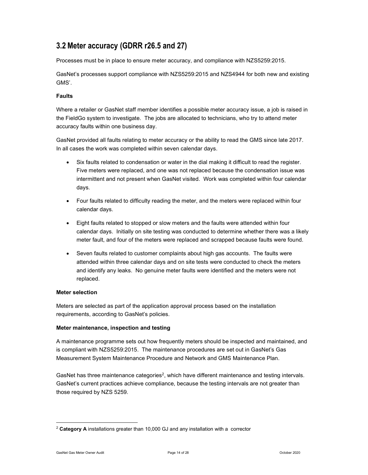# 3.2 Meter accuracy (GDRR r26.5 and 27)

Processes must be in place to ensure meter accuracy, and compliance with NZS5259:2015.

GasNet's processes support compliance with NZS5259:2015 and NZS4944 for both new and existing GMS'.

#### Faults

Where a retailer or GasNet staff member identifies a possible meter accuracy issue, a job is raised in the FieldGo system to investigate. The jobs are allocated to technicians, who try to attend meter accuracy faults within one business day.

GasNet provided all faults relating to meter accuracy or the ability to read the GMS since late 2017. In all cases the work was completed within seven calendar days.

- Six faults related to condensation or water in the dial making it difficult to read the register. Five meters were replaced, and one was not replaced because the condensation issue was intermittent and not present when GasNet visited. Work was completed within four calendar days.
- Four faults related to difficulty reading the meter, and the meters were replaced within four calendar days.
- Eight faults related to stopped or slow meters and the faults were attended within four calendar days. Initially on site testing was conducted to determine whether there was a likely meter fault, and four of the meters were replaced and scrapped because faults were found.
- Seven faults related to customer complaints about high gas accounts. The faults were attended within three calendar days and on site tests were conducted to check the meters and identify any leaks. No genuine meter faults were identified and the meters were not replaced.

#### Meter selection

Meters are selected as part of the application approval process based on the installation requirements, according to GasNet's policies.

#### Meter maintenance, inspection and testing

A maintenance programme sets out how frequently meters should be inspected and maintained, and is compliant with NZS5259:2015. The maintenance procedures are set out in GasNet's Gas Measurement System Maintenance Procedure and Network and GMS Maintenance Plan.

GasNet has three maintenance categories<sup>2</sup>, which have different maintenance and testing intervals. GasNet's current practices achieve compliance, because the testing intervals are not greater than those required by NZS 5259.

<sup>&</sup>lt;sup>2</sup> Category A installations greater than 10,000 GJ and any installation with a corrector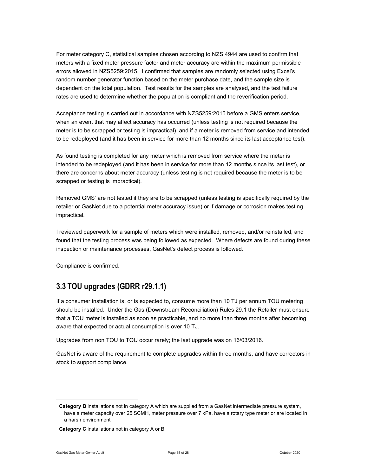For meter category C, statistical samples chosen according to NZS 4944 are used to confirm that meters with a fixed meter pressure factor and meter accuracy are within the maximum permissible errors allowed in NZS5259:2015. I confirmed that samples are randomly selected using Excel's random number generator function based on the meter purchase date, and the sample size is dependent on the total population. Test results for the samples are analysed, and the test failure rates are used to determine whether the population is compliant and the reverification period.

Acceptance testing is carried out in accordance with NZS5259:2015 before a GMS enters service, when an event that may affect accuracy has occurred (unless testing is not required because the meter is to be scrapped or testing is impractical), and if a meter is removed from service and intended to be redeployed (and it has been in service for more than 12 months since its last acceptance test).

As found testing is completed for any meter which is removed from service where the meter is intended to be redeployed (and it has been in service for more than 12 months since its last test), or there are concerns about meter accuracy (unless testing is not required because the meter is to be scrapped or testing is impractical).

Removed GMS' are not tested if they are to be scrapped (unless testing is specifically required by the retailer or GasNet due to a potential meter accuracy issue) or if damage or corrosion makes testing impractical.

I reviewed paperwork for a sample of meters which were installed, removed, and/or reinstalled, and found that the testing process was being followed as expected. Where defects are found during these inspection or maintenance processes, GasNet's defect process is followed.

Compliance is confirmed.

# 3.3 TOU upgrades (GDRR r29.1.1)

If a consumer installation is, or is expected to, consume more than 10 TJ per annum TOU metering should be installed. Under the Gas (Downstream Reconciliation) Rules 29.1 the Retailer must ensure that a TOU meter is installed as soon as practicable, and no more than three months after becoming aware that expected or actual consumption is over 10 TJ.

Upgrades from non TOU to TOU occur rarely; the last upgrade was on 16/03/2016.

GasNet is aware of the requirement to complete upgrades within three months, and have correctors in stock to support compliance.

Category B installations not in category A which are supplied from a GasNet intermediate pressure system, have a meter capacity over 25 SCMH, meter pressure over 7 kPa, have a rotary type meter or are located in a harsh environment

Category C installations not in category A or B.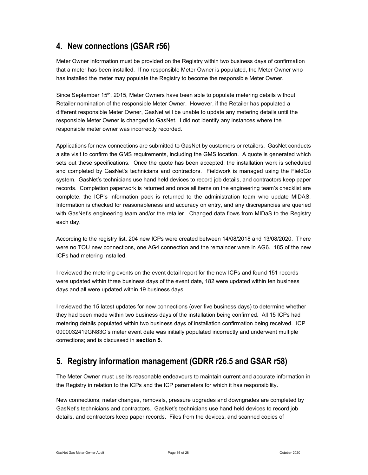# 4. New connections (GSAR r56)

Meter Owner information must be provided on the Registry within two business days of confirmation that a meter has been installed. If no responsible Meter Owner is populated, the Meter Owner who has installed the meter may populate the Registry to become the responsible Meter Owner.

Since September 15<sup>th</sup>, 2015, Meter Owners have been able to populate metering details without Retailer nomination of the responsible Meter Owner. However, if the Retailer has populated a different responsible Meter Owner, GasNet will be unable to update any metering details until the responsible Meter Owner is changed to GasNet. I did not identify any instances where the responsible meter owner was incorrectly recorded.

Applications for new connections are submitted to GasNet by customers or retailers. GasNet conducts a site visit to confirm the GMS requirements, including the GMS location. A quote is generated which sets out these specifications. Once the quote has been accepted, the installation work is scheduled and completed by GasNet's technicians and contractors. Fieldwork is managed using the FieldGo system. GasNet's technicians use hand held devices to record job details, and contractors keep paper records. Completion paperwork is returned and once all items on the engineering team's checklist are complete, the ICP's information pack is returned to the administration team who update MIDAS. Information is checked for reasonableness and accuracy on entry, and any discrepancies are queried with GasNet's engineering team and/or the retailer. Changed data flows from MIDaS to the Registry each day.

According to the registry list, 204 new ICPs were created between 14/08/2018 and 13/08/2020. There were no TOU new connections, one AG4 connection and the remainder were in AG6. 185 of the new ICPs had metering installed.

I reviewed the metering events on the event detail report for the new ICPs and found 151 records were updated within three business days of the event date, 182 were updated within ten business days and all were updated within 19 business days.

I reviewed the 15 latest updates for new connections (over five business days) to determine whether they had been made within two business days of the installation being confirmed. All 15 ICPs had metering details populated within two business days of installation confirmation being received. ICP 0000032419GN83C's meter event date was initially populated incorrectly and underwent multiple corrections; and is discussed in section 5.

# 5. Registry information management (GDRR r26.5 and GSAR r58)

The Meter Owner must use its reasonable endeavours to maintain current and accurate information in the Registry in relation to the ICPs and the ICP parameters for which it has responsibility.

New connections, meter changes, removals, pressure upgrades and downgrades are completed by GasNet's technicians and contractors. GasNet's technicians use hand held devices to record job details, and contractors keep paper records. Files from the devices, and scanned copies of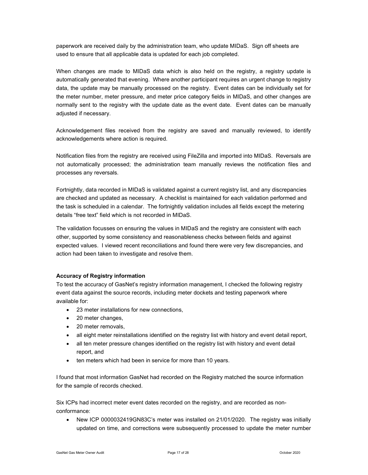paperwork are received daily by the administration team, who update MIDaS. Sign off sheets are used to ensure that all applicable data is updated for each job completed.

When changes are made to MIDaS data which is also held on the registry, a registry update is automatically generated that evening. Where another participant requires an urgent change to registry data, the update may be manually processed on the registry. Event dates can be individually set for the meter number, meter pressure, and meter price category fields in MIDaS, and other changes are normally sent to the registry with the update date as the event date. Event dates can be manually adjusted if necessary.

Acknowledgement files received from the registry are saved and manually reviewed, to identify acknowledgements where action is required.

Notification files from the registry are received using FileZilla and imported into MIDaS. Reversals are not automatically processed; the administration team manually reviews the notification files and processes any reversals.

Fortnightly, data recorded in MIDaS is validated against a current registry list, and any discrepancies are checked and updated as necessary. A checklist is maintained for each validation performed and the task is scheduled in a calendar. The fortnightly validation includes all fields except the metering details "free text" field which is not recorded in MIDaS.

The validation focusses on ensuring the values in MIDaS and the registry are consistent with each other, supported by some consistency and reasonableness checks between fields and against expected values. I viewed recent reconciliations and found there were very few discrepancies, and action had been taken to investigate and resolve them.

#### Accuracy of Registry information

To test the accuracy of GasNet's registry information management, I checked the following registry event data against the source records, including meter dockets and testing paperwork where available for:

- 23 meter installations for new connections,
- 20 meter changes,
- 20 meter removals,
- all eight meter reinstallations identified on the registry list with history and event detail report,
- all ten meter pressure changes identified on the registry list with history and event detail report, and
- ten meters which had been in service for more than 10 years.

I found that most information GasNet had recorded on the Registry matched the source information for the sample of records checked.

Six ICPs had incorrect meter event dates recorded on the registry, and are recorded as nonconformance:

 New ICP 0000032419GN83C's meter was installed on 21/01/2020. The registry was initially updated on time, and corrections were subsequently processed to update the meter number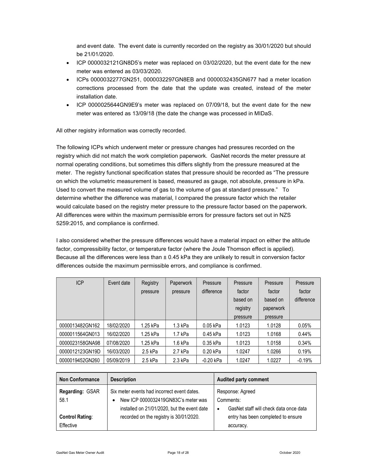and event date. The event date is currently recorded on the registry as 30/01/2020 but should be 21/01/2020.

- ICP 0000032121GN8D5's meter was replaced on 03/02/2020, but the event date for the new meter was entered as 03/03/2020.
- ICPs 0000032277GN251, 0000032297GN8EB and 0000032435GN677 had a meter location corrections processed from the date that the update was created, instead of the meter installation date.
- ICP 0000025644GN9E9's meter was replaced on 07/09/18, but the event date for the new meter was entered as 13/09/18 (the date the change was processed in MIDaS.

All other registry information was correctly recorded.

The following ICPs which underwent meter or pressure changes had pressures recorded on the registry which did not match the work completion paperwork. GasNet records the meter pressure at normal operating conditions, but sometimes this differs slightly from the pressure measured at the meter. The registry functional specification states that pressure should be recorded as "The pressure on which the volumetric measurement is based, measured as gauge, not absolute, pressure in kPa. Used to convert the measured volume of gas to the volume of gas at standard pressure." To determine whether the difference was material, I compared the pressure factor which the retailer would calculate based on the registry meter pressure to the pressure factor based on the paperwork. All differences were within the maximum permissible errors for pressure factors set out in NZS 5259:2015, and compliance is confirmed.

I also considered whether the pressure differences would have a material impact on either the altitude factor, compressibility factor, or temperature factor (where the Joule Thomson effect is applied). Because all the differences were less than ± 0.45 kPa they are unlikely to result in conversion factor differences outside the maximum permissible errors, and compliance is confirmed.

| <b>ICP</b>      | Event date | Registry<br>pressure | <b>Paperwork</b><br>pressure | Pressure<br>difference | Pressure<br>factor<br>based on<br>registry<br>pressure | Pressure<br>factor<br>based on<br>paperwork<br>pressure | Pressure<br>factor<br>difference |
|-----------------|------------|----------------------|------------------------------|------------------------|--------------------------------------------------------|---------------------------------------------------------|----------------------------------|
| 0000013482GN162 | 18/02/2020 | 1.25 kPa             | 1.3 kPa                      | 0.05 kPa               | 1.0123                                                 | 1.0128                                                  | 0.05%                            |
| 0000011564GN013 | 16/02/2020 | 1.25 kPa             | 1.7 kPa                      | 0.45 kPa               | 1.0123                                                 | 1.0168                                                  | 0.44%                            |
| 0000023158GNA98 | 07/08/2020 | 1.25 kPa             | 1.6 kPa                      | 0.35 kPa               | 1.0123                                                 | 1.0158                                                  | 0.34%                            |
| 0000012123GN19D | 16/03/2020 | 2.5 kPa              | 2.7 kPa                      | 0.20 kPa               | 1.0247                                                 | 1.0266                                                  | 0.19%                            |
| 0000019452GN260 | 05/09/2019 | 2.5 kPa              | 2.3 kPa                      | $-0.20$ kPa            | 1.0247                                                 | 1.0227                                                  | $-0.19%$                         |

| <b>Non Conformance</b>                            | <b>Description</b>                                                                                                                                                           | <b>Audited party comment</b>                                                                                               |
|---------------------------------------------------|------------------------------------------------------------------------------------------------------------------------------------------------------------------------------|----------------------------------------------------------------------------------------------------------------------------|
| Regarding: GSAR<br>58.1<br><b>Control Rating:</b> | Six meter events had incorrect event dates.<br>New ICP 0000032419GN83C's meter was<br>installed on 21/01/2020, but the event date<br>recorded on the registry is 30/01/2020. | Response: Agreed<br>Comments:<br>GasNet staff will check data once data<br>$\bullet$<br>entry has been completed to ensure |
| Effective                                         |                                                                                                                                                                              | accuracy.                                                                                                                  |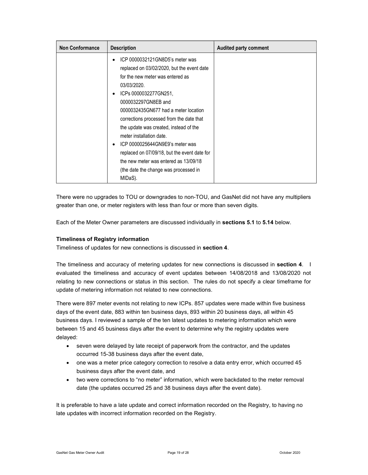| <b>Non Conformance</b> | <b>Description</b>                           | <b>Audited party comment</b> |
|------------------------|----------------------------------------------|------------------------------|
|                        | ICP 0000032121GN8D5's meter was<br>$\bullet$ |                              |
|                        | replaced on 03/02/2020, but the event date   |                              |
|                        | for the new meter was entered as             |                              |
|                        | 03/03/2020.                                  |                              |
|                        | ICPs 0000032277GN251,<br>$\bullet$           |                              |
|                        | 0000032297GN8EB and                          |                              |
|                        | 0000032435GN677 had a meter location         |                              |
|                        | corrections processed from the date that     |                              |
|                        | the update was created, instead of the       |                              |
|                        | meter installation date.                     |                              |
|                        | ICP 0000025644GN9E9's meter was<br>$\bullet$ |                              |
|                        | replaced on 07/09/18, but the event date for |                              |
|                        | the new meter was entered as 13/09/18        |                              |
|                        | (the date the change was processed in        |                              |
|                        | MIDaS).                                      |                              |

There were no upgrades to TOU or downgrades to non-TOU, and GasNet did not have any multipliers greater than one, or meter registers with less than four or more than seven digits.

Each of the Meter Owner parameters are discussed individually in sections 5.1 to 5.14 below.

#### Timeliness of Registry information

Timeliness of updates for new connections is discussed in section 4.

The timeliness and accuracy of metering updates for new connections is discussed in section 4. I evaluated the timeliness and accuracy of event updates between 14/08/2018 and 13/08/2020 not relating to new connections or status in this section. The rules do not specify a clear timeframe for update of metering information not related to new connections.

There were 897 meter events not relating to new ICPs. 857 updates were made within five business days of the event date, 883 within ten business days, 893 within 20 business days, all within 45 business days. I reviewed a sample of the ten latest updates to metering information which were between 15 and 45 business days after the event to determine why the registry updates were delayed:

- seven were delayed by late receipt of paperwork from the contractor, and the updates occurred 15-38 business days after the event date,
- one was a meter price category correction to resolve a data entry error, which occurred 45 business days after the event date, and
- two were corrections to "no meter" information, which were backdated to the meter removal date (the updates occurred 25 and 38 business days after the event date).

It is preferable to have a late update and correct information recorded on the Registry, to having no late updates with incorrect information recorded on the Registry.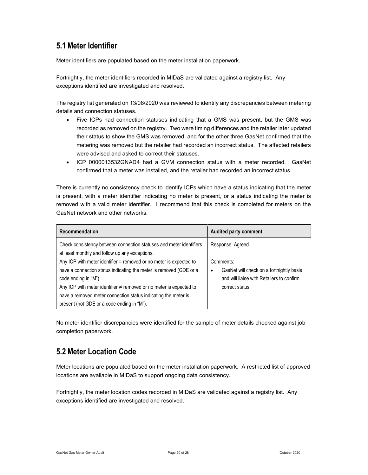# 5.1 Meter Identifier

Meter identifiers are populated based on the meter installation paperwork.

Fortnightly, the meter identifiers recorded in MIDaS are validated against a registry list. Any exceptions identified are investigated and resolved.

The registry list generated on 13/08/2020 was reviewed to identify any discrepancies between metering details and connection statuses.

- Five ICPs had connection statuses indicating that a GMS was present, but the GMS was recorded as removed on the registry. Two were timing differences and the retailer later updated their status to show the GMS was removed, and for the other three GasNet confirmed that the metering was removed but the retailer had recorded an incorrect status. The affected retailers were advised and asked to correct their statuses.
- ICP 0000013532GNAD4 had a GVM connection status with a meter recorded. GasNet confirmed that a meter was installed, and the retailer had recorded an incorrect status.

There is currently no consistency check to identify ICPs which have a status indicating that the meter is present, with a meter identifier indicating no meter is present, or a status indicating the meter is removed with a valid meter identifier. I recommend that this check is completed for meters on the GasNet network and other networks.

| Recommendation                                                                                                                                                                                                                                                                                                                                                                                                                                                                       | <b>Audited party comment</b>                                                                                                                  |
|--------------------------------------------------------------------------------------------------------------------------------------------------------------------------------------------------------------------------------------------------------------------------------------------------------------------------------------------------------------------------------------------------------------------------------------------------------------------------------------|-----------------------------------------------------------------------------------------------------------------------------------------------|
| Check consistency between connection statuses and meter identifiers<br>at least monthly and follow up any exceptions.<br>Any ICP with meter identifier = removed or no meter is expected to<br>have a connection status indicating the meter is removed (GDE or a<br>code ending in "M").<br>Any ICP with meter identifier $\neq$ removed or no meter is expected to<br>have a removed meter connection status indicating the meter is<br>present (not GDE or a code ending in "M"). | Response: Agreed<br>Comments:<br>GasNet will check on a fortnightly basis<br>٠<br>and will liaise with Retailers to confirm<br>correct status |

No meter identifier discrepancies were identified for the sample of meter details checked against job completion paperwork.

# 5.2 Meter Location Code

Meter locations are populated based on the meter installation paperwork. A restricted list of approved locations are available in MIDaS to support ongoing data consistency.

Fortnightly, the meter location codes recorded in MIDaS are validated against a registry list. Any exceptions identified are investigated and resolved.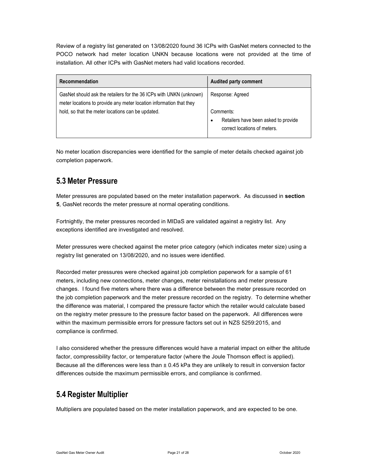Review of a registry list generated on 13/08/2020 found 36 ICPs with GasNet meters connected to the POCO network had meter location UNKN because locations were not provided at the time of installation. All other ICPs with GasNet meters had valid locations recorded.

| Recommendation                                                                                                                                                                                  | <b>Audited party comment</b>                                                                               |
|-------------------------------------------------------------------------------------------------------------------------------------------------------------------------------------------------|------------------------------------------------------------------------------------------------------------|
| GasNet should ask the retailers for the 36 ICPs with UNKN (unknown)<br>meter locations to provide any meter location information that they<br>hold, so that the meter locations can be updated. | Response: Agreed<br>Comments:<br>Retailers have been asked to provide<br>٠<br>correct locations of meters. |

No meter location discrepancies were identified for the sample of meter details checked against job completion paperwork.

# 5.3 Meter Pressure

Meter pressures are populated based on the meter installation paperwork. As discussed in section 5, GasNet records the meter pressure at normal operating conditions.

Fortnightly, the meter pressures recorded in MIDaS are validated against a registry list. Any exceptions identified are investigated and resolved.

Meter pressures were checked against the meter price category (which indicates meter size) using a registry list generated on 13/08/2020, and no issues were identified.

Recorded meter pressures were checked against job completion paperwork for a sample of 61 meters, including new connections, meter changes, meter reinstallations and meter pressure changes. I found five meters where there was a difference between the meter pressure recorded on the job completion paperwork and the meter pressure recorded on the registry. To determine whether the difference was material, I compared the pressure factor which the retailer would calculate based on the registry meter pressure to the pressure factor based on the paperwork. All differences were within the maximum permissible errors for pressure factors set out in NZS 5259:2015, and compliance is confirmed.

I also considered whether the pressure differences would have a material impact on either the altitude factor, compressibility factor, or temperature factor (where the Joule Thomson effect is applied). Because all the differences were less than ± 0.45 kPa they are unlikely to result in conversion factor differences outside the maximum permissible errors, and compliance is confirmed.

# 5.4 Register Multiplier

Multipliers are populated based on the meter installation paperwork, and are expected to be one.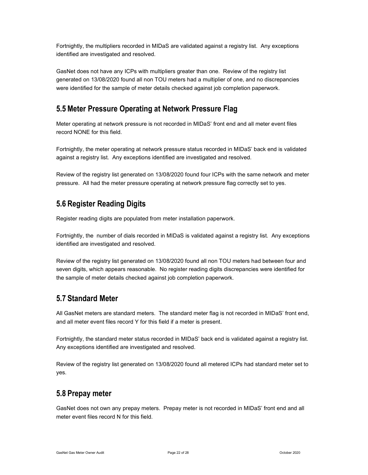Fortnightly, the multipliers recorded in MIDaS are validated against a registry list. Any exceptions identified are investigated and resolved.

GasNet does not have any ICPs with multipliers greater than one. Review of the registry list generated on 13/08/2020 found all non TOU meters had a multiplier of one, and no discrepancies were identified for the sample of meter details checked against job completion paperwork.

### 5.5 Meter Pressure Operating at Network Pressure Flag

Meter operating at network pressure is not recorded in MIDaS' front end and all meter event files record NONE for this field.

Fortnightly, the meter operating at network pressure status recorded in MIDaS' back end is validated against a registry list. Any exceptions identified are investigated and resolved.

Review of the registry list generated on 13/08/2020 found four ICPs with the same network and meter pressure. All had the meter pressure operating at network pressure flag correctly set to yes.

### 5.6 Register Reading Digits

Register reading digits are populated from meter installation paperwork.

Fortnightly, the number of dials recorded in MIDaS is validated against a registry list. Any exceptions identified are investigated and resolved.

Review of the registry list generated on 13/08/2020 found all non TOU meters had between four and seven digits, which appears reasonable. No register reading digits discrepancies were identified for the sample of meter details checked against job completion paperwork.

#### 5.7 Standard Meter

All GasNet meters are standard meters. The standard meter flag is not recorded in MIDaS' front end, and all meter event files record Y for this field if a meter is present.

Fortnightly, the standard meter status recorded in MIDaS' back end is validated against a registry list. Any exceptions identified are investigated and resolved.

Review of the registry list generated on 13/08/2020 found all metered ICPs had standard meter set to yes.

#### 5.8 Prepay meter

GasNet does not own any prepay meters. Prepay meter is not recorded in MIDaS' front end and all meter event files record N for this field.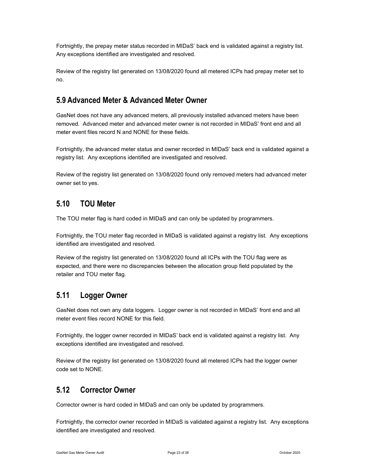Fortnightly, the prepay meter status recorded in MIDaS' back end is validated against a registry list. Any exceptions identified are investigated and resolved.

Review of the registry list generated on 13/08/2020 found all metered ICPs had prepay meter set to no.

#### 5.9 Advanced Meter & Advanced Meter Owner

GasNet does not have any advanced meters, all previously installed advanced meters have been removed. Advanced meter and advanced meter owner is not recorded in MIDaS' front end and all meter event files record N and NONE for these fields.

Fortnightly, the advanced meter status and owner recorded in MIDaS' back end is validated against a registry list. Any exceptions identified are investigated and resolved.

Review of the registry list generated on 13/08/2020 found only removed meters had advanced meter owner set to yes.

#### 5.10 TOU Meter

The TOU meter flag is hard coded in MIDaS and can only be updated by programmers.

Fortnightly, the TOU meter flag recorded in MIDaS is validated against a registry list. Any exceptions identified are investigated and resolved.

Review of the registry list generated on 13/08/2020 found all ICPs with the TOU flag were as expected, and there were no discrepancies between the allocation group field populated by the retailer and TOU meter flag.

# 5.11 Logger Owner

GasNet does not own any data loggers. Logger owner is not recorded in MIDaS' front end and all meter event files record NONE for this field.

Fortnightly, the logger owner recorded in MIDaS' back end is validated against a registry list. Any exceptions identified are investigated and resolved.

Review of the registry list generated on 13/08/2020 found all metered ICPs had the logger owner code set to NONE.

# 5.12 Corrector Owner

Corrector owner is hard coded in MIDaS and can only be updated by programmers.

Fortnightly, the corrector owner recorded in MIDaS is validated against a registry list. Any exceptions identified are investigated and resolved.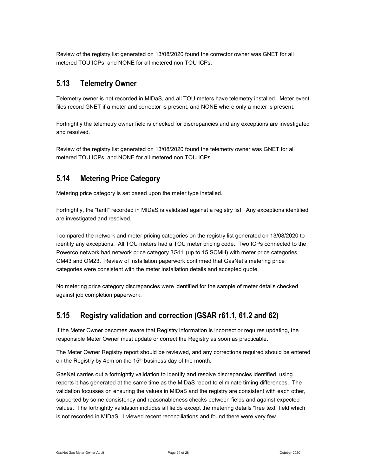Review of the registry list generated on 13/08/2020 found the corrector owner was GNET for all metered TOU ICPs, and NONE for all metered non TOU ICPs.

### 5.13 Telemetry Owner

Telemetry owner is not recorded in MIDaS, and all TOU meters have telemetry installed. Meter event files record GNET if a meter and corrector is present, and NONE where only a meter is present.

Fortnightly the telemetry owner field is checked for discrepancies and any exceptions are investigated and resolved.

Review of the registry list generated on 13/08/2020 found the telemetry owner was GNET for all metered TOU ICPs, and NONE for all metered non TOU ICPs.

### 5.14 Metering Price Category

Metering price category is set based upon the meter type installed.

Fortnightly, the "tariff" recorded in MIDaS is validated against a registry list. Any exceptions identified are investigated and resolved.

I compared the network and meter pricing categories on the registry list generated on 13/08/2020 to identify any exceptions. All TOU meters had a TOU meter pricing code. Two ICPs connected to the Powerco network had network price category 3G11 (up to 15 SCMH) with meter price categories OM43 and OM23. Review of installation paperwork confirmed that GasNet's metering price categories were consistent with the meter installation details and accepted quote.

No metering price category discrepancies were identified for the sample of meter details checked against job completion paperwork.

# 5.15 Registry validation and correction (GSAR r61.1, 61.2 and 62)

If the Meter Owner becomes aware that Registry information is incorrect or requires updating, the responsible Meter Owner must update or correct the Registry as soon as practicable.

The Meter Owner Registry report should be reviewed, and any corrections required should be entered on the Registry by 4pm on the 15<sup>th</sup> business day of the month.

GasNet carries out a fortnightly validation to identify and resolve discrepancies identified, using reports it has generated at the same time as the MIDaS report to eliminate timing differences. The validation focusses on ensuring the values in MIDaS and the registry are consistent with each other, supported by some consistency and reasonableness checks between fields and against expected values. The fortnightly validation includes all fields except the metering details "free text" field which is not recorded in MIDaS. I viewed recent reconciliations and found there were very few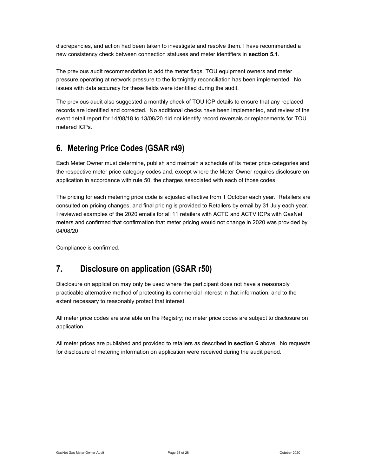discrepancies, and action had been taken to investigate and resolve them. I have recommended a new consistency check between connection statuses and meter identifiers in section 5.1.

The previous audit recommendation to add the meter flags, TOU equipment owners and meter pressure operating at network pressure to the fortnightly reconciliation has been implemented. No issues with data accuracy for these fields were identified during the audit.

The previous audit also suggested a monthly check of TOU ICP details to ensure that any replaced records are identified and corrected. No additional checks have been implemented, and review of the event detail report for 14/08/18 to 13/08/20 did not identify record reversals or replacements for TOU metered ICPs.

# 6. Metering Price Codes (GSAR r49)

Each Meter Owner must determine, publish and maintain a schedule of its meter price categories and the respective meter price category codes and, except where the Meter Owner requires disclosure on application in accordance with rule 50, the charges associated with each of those codes.

The pricing for each metering price code is adjusted effective from 1 October each year. Retailers are consulted on pricing changes, and final pricing is provided to Retailers by email by 31 July each year. I reviewed examples of the 2020 emails for all 11 retailers with ACTC and ACTV ICPs with GasNet meters and confirmed that confirmation that meter pricing would not change in 2020 was provided by 04/08/20.

Compliance is confirmed.

# 7. Disclosure on application (GSAR r50)

Disclosure on application may only be used where the participant does not have a reasonably practicable alternative method of protecting its commercial interest in that information, and to the extent necessary to reasonably protect that interest.

All meter price codes are available on the Registry; no meter price codes are subject to disclosure on application.

All meter prices are published and provided to retailers as described in section 6 above. No requests for disclosure of metering information on application were received during the audit period.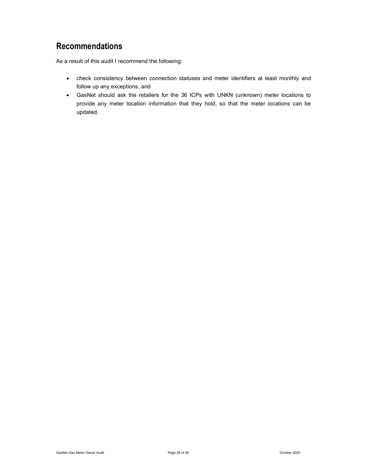# Recommendations

As a result of this audit I recommend the following:

- check consistency between connection statuses and meter identifiers at least monthly and follow up any exceptions, and
- GasNet should ask the retailers for the 36 ICPs with UNKN (unknown) meter locations to provide any meter location information that they hold, so that the meter locations can be updated.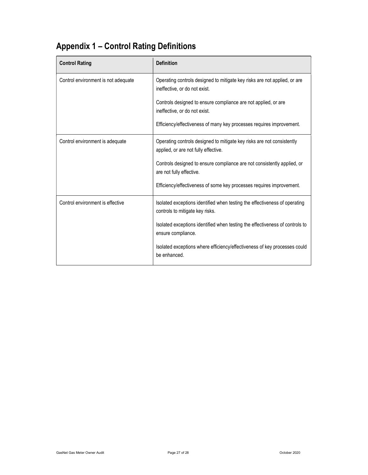# Appendix 1 – Control Rating Definitions

| <b>Control Rating</b>               | <b>Definition</b>                                                                                              |
|-------------------------------------|----------------------------------------------------------------------------------------------------------------|
| Control environment is not adequate | Operating controls designed to mitigate key risks are not applied, or are<br>ineffective, or do not exist.     |
|                                     | Controls designed to ensure compliance are not applied, or are<br>ineffective, or do not exist.                |
|                                     | Efficiency/effectiveness of many key processes requires improvement.                                           |
| Control environment is adequate     | Operating controls designed to mitigate key risks are not consistently<br>applied, or are not fully effective. |
|                                     | Controls designed to ensure compliance are not consistently applied, or<br>are not fully effective.            |
|                                     | Efficiency/effectiveness of some key processes requires improvement.                                           |
| Control environment is effective    | Isolated exceptions identified when testing the effectiveness of operating<br>controls to mitigate key risks.  |
|                                     | Isolated exceptions identified when testing the effectiveness of controls to<br>ensure compliance.             |
|                                     | Isolated exceptions where efficiency/effectiveness of key processes could<br>be enhanced.                      |